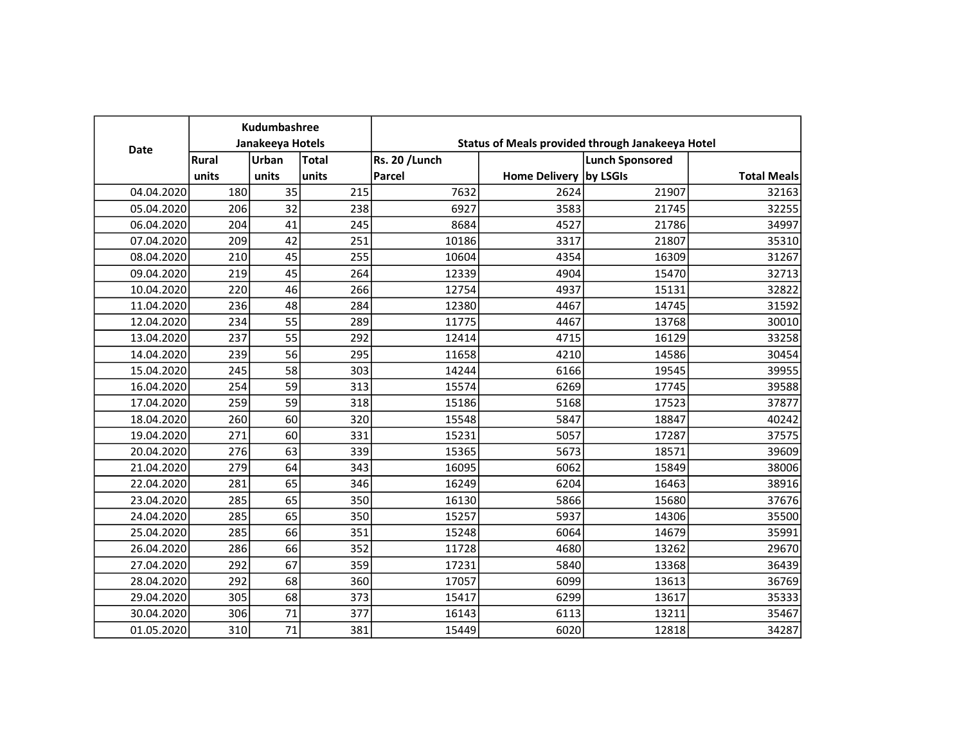| Date       | Kudumbashree<br>Janakeeya Hotels |       |              | Status of Meals provided through Janakeeya Hotel |                        |                        |                    |
|------------|----------------------------------|-------|--------------|--------------------------------------------------|------------------------|------------------------|--------------------|
|            | Rural                            | Urban | <b>Total</b> | <b>Rs. 20 / Lunch</b>                            |                        | <b>Lunch Sponsored</b> |                    |
|            | units                            | units | units        | Parcel                                           | Home Delivery by LSGIs |                        | <b>Total Meals</b> |
| 04.04.2020 | 180                              | 35    | 215          | 7632                                             | 2624                   | 21907                  | 32163              |
| 05.04.2020 | 206                              | 32    | 238          | 6927                                             | 3583                   | 21745                  | 32255              |
| 06.04.2020 | 204                              | 41    | 245          | 8684                                             | 4527                   | 21786                  | 34997              |
| 07.04.2020 | 209                              | 42    | 251          | 10186                                            | 3317                   | 21807                  | 35310              |
| 08.04.2020 | 210                              | 45    | 255          | 10604                                            | 4354                   | 16309                  | 31267              |
| 09.04.2020 | 219                              | 45    | 264          | 12339                                            | 4904                   | 15470                  | 32713              |
| 10.04.2020 | 220                              | 46    | 266          | 12754                                            | 4937                   | 15131                  | 32822              |
| 11.04.2020 | 236                              | 48    | 284          | 12380                                            | 4467                   | 14745                  | 31592              |
| 12.04.2020 | 234                              | 55    | 289          | 11775                                            | 4467                   | 13768                  | 30010              |
| 13.04.2020 | 237                              | 55    | 292          | 12414                                            | 4715                   | 16129                  | 33258              |
| 14.04.2020 | 239                              | 56    | 295          | 11658                                            | 4210                   | 14586                  | 30454              |
| 15.04.2020 | 245                              | 58    | 303          | 14244                                            | 6166                   | 19545                  | 39955              |
| 16.04.2020 | 254                              | 59    | 313          | 15574                                            | 6269                   | 17745                  | 39588              |
| 17.04.2020 | 259                              | 59    | 318          | 15186                                            | 5168                   | 17523                  | 37877              |
| 18.04.2020 | 260                              | 60    | 320          | 15548                                            | 5847                   | 18847                  | 40242              |
| 19.04.2020 | 271                              | 60    | 331          | 15231                                            | 5057                   | 17287                  | 37575              |
| 20.04.2020 | 276                              | 63    | 339          | 15365                                            | 5673                   | 18571                  | 39609              |
| 21.04.2020 | 279                              | 64    | 343          | 16095                                            | 6062                   | 15849                  | 38006              |
| 22.04.2020 | 281                              | 65    | 346          | 16249                                            | 6204                   | 16463                  | 38916              |
| 23.04.2020 | 285                              | 65    | 350          | 16130                                            | 5866                   | 15680                  | 37676              |
| 24.04.2020 | 285                              | 65    | 350          | 15257                                            | 5937                   | 14306                  | 35500              |
| 25.04.2020 | 285                              | 66    | 351          | 15248                                            | 6064                   | 14679                  | 35991              |
| 26.04.2020 | 286                              | 66    | 352          | 11728                                            | 4680                   | 13262                  | 29670              |
| 27.04.2020 | 292                              | 67    | 359          | 17231                                            | 5840                   | 13368                  | 36439              |
| 28.04.2020 | 292                              | 68    | 360          | 17057                                            | 6099                   | 13613                  | 36769              |
| 29.04.2020 | 305                              | 68    | 373          | 15417                                            | 6299                   | 13617                  | 35333              |
| 30.04.2020 | 306                              | 71    | 377          | 16143                                            | 6113                   | 13211                  | 35467              |
| 01.05.2020 | 310                              | 71    | 381          | 15449                                            | 6020                   | 12818                  | 34287              |